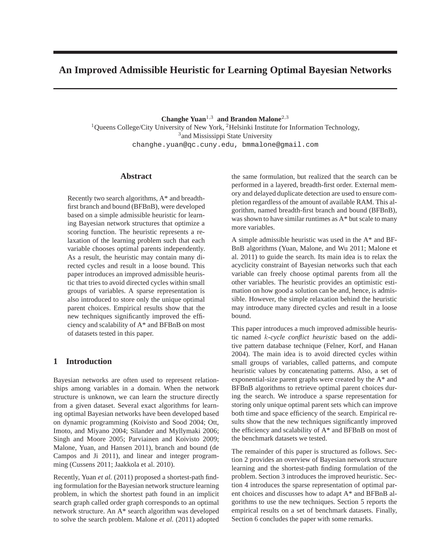# **An Improved Admissible Heuristic for Learning Optimal Bayesian Networks**

**Changhe Yuan**<sup>1</sup>,<sup>3</sup> **and Brandon Malone**<sup>2</sup>,<sup>3</sup> <sup>1</sup>Queens College/City University of New York, <sup>2</sup>Helsinki Institute for Information Technology, <sup>3</sup> and Mississippi State University changhe.yuan@qc.cuny.edu, bmmalone@gmail.com

# **Abstract**

Recently two search algorithms, A\* and breadthfirst branch and bound (BFBnB), were developed based on a simple admissible heuristic for learning Bayesian network structures that optimize a scoring function. The heuristic represents a relaxation of the learning problem such that each variable chooses optimal parents independently. As a result, the heuristic may contain many directed cycles and result in a loose bound. This paper introduces an improved admissible heuristic that tries to avoid directed cycles within small groups of variables. A sparse representation is also introduced to store only the unique optimal parent choices. Empirical results show that the new techniques significantly improved the efficiency and scalability of A\* and BFBnB on most of datasets tested in this paper.

# **1 Introduction**

Bayesian networks are often used to represent relationships among variables in a domain. When the network structure is unknown, we can learn the structure directly from a given dataset. Several exact algorithms for learning optimal Bayesian networks have been developed based on dynamic programming (Koivisto and Sood 2004; Ott, Imoto, and Miyano 2004; Silander and Myllymaki 2006; Singh and Moore 2005; Parviainen and Koivisto 2009; Malone, Yuan, and Hansen 2011), branch and bound (de Campos and Ji 2011), and linear and integer programming (Cussens 2011; Jaakkola et al. 2010).

Recently, Yuan *et al.* (2011) proposed a shortest-path finding formulation for the Bayesian network structure learning problem, in which the shortest path found in an implicit search graph called order graph corresponds to an optimal network structure. An A\* search algorithm was developed to solve the search problem. Malone *et al.* (2011) adopted the same formulation, but realized that the search can be performed in a layered, breadth-first order. External memory and delayed duplicate detection are used to ensure completion regardless of the amount of available RAM. This algorithm, named breadth-first branch and bound (BFBnB), was shown to have similar runtimes as A\* but scale to many more variables.

A simple admissible heuristic was used in the A\* and BF-BnB algorithms (Yuan, Malone, and Wu 2011; Malone et al. 2011) to guide the search. Its main idea is to relax the acyclicity constraint of Bayesian networks such that each variable can freely choose optimal parents from all the other variables. The heuristic provides an optimistic estimation on how good a solution can be and, hence, is admissible. However, the simple relaxation behind the heuristic may introduce many directed cycles and result in a loose bound.

This paper introduces a much improved admissible heuristic named k*-cycle conflict heuristic* based on the additive pattern database technique (Felner, Korf, and Hanan 2004). The main idea is to avoid directed cycles within small groups of variables, called patterns, and compute heuristic values by concatenating patterns. Also, a set of exponential-size parent graphs were created by the A\* and BFBnB algorithms to retrieve optimal parent choices during the search. We introduce a sparse representation for storing only unique optimal parent sets which can improve both time and space efficiency of the search. Empirical results show that the new techniques significantly improved the efficiency and scalability of A\* and BFBnB on most of the benchmark datasets we tested.

The remainder of this paper is structured as follows. Section 2 provides an overview of Bayesian network structure learning and the shortest-path finding formulation of the problem. Section 3 introduces the improved heuristic. Section 4 introduces the sparse representation of optimal parent choices and discusses how to adapt A\* and BFBnB algorithms to use the new techniques. Section 5 reports the empirical results on a set of benchmark datasets. Finally, Section 6 concludes the paper with some remarks.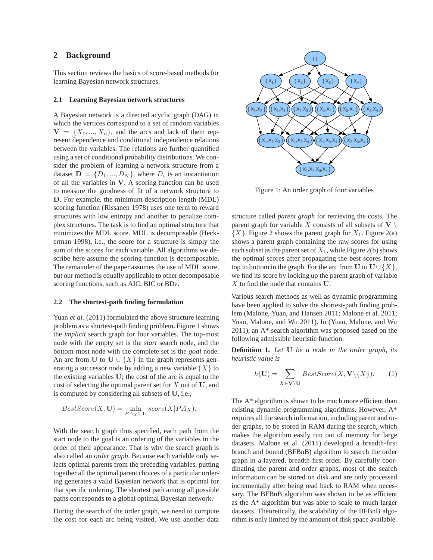### **2 Background**

This section reviews the basics of score-based methods for learning Bayesian network structures.

### **2.1 Learning Bayesian network structures**

A Bayesian network is a directed acyclic graph (DAG) in which the vertices correspond to a set of random variables  $V = \{X_1, ..., X_n\}$ , and the arcs and lack of them represent dependence and conditional independence relations between the variables. The relations are further quantified using a set of conditional probability distributions. We consider the problem of learning a network structure from a dataset  $\mathbf{D} = \{D_1, ..., D_N\}$ , where  $D_i$  is an instantiation of all the variables in V. A scoring function can be used to measure the goodness of fit of a network structure to D. For example, the minimum description length (MDL) scoring function (Rissanen 1978) uses one term to reward structures with low entropy and another to penalize complex structures. The task is to find an optimal structure that minimizes the MDL score. MDL is decomposable (Heckerman 1998), i.e., the score for a structure is simply the sum of the scores for each variable. All algorithms we describe here assume the scoring function is decomposable. The remainder of the paper assumes the use of MDL score, but our method is equally applicable to other decomposable scoring functions, such as AIC, BIC or BDe.

#### **2.2 The shortest-path finding formulation**

Yuan *et al.* (2011) formulated the above structure learning problem as a shortest-path finding problem. Figure 1 shows the *implicit* search graph for four variables. The top-most node with the empty set is the *start* search node, and the bottom-most node with the complete set is the *goal* node. An arc from U to U  $\{X\}$  in the graph represents generating a successor node by adding a new variable  $\{X\}$  to the existing variables U; the cost of the arc is equal to the cost of selecting the optimal parent set for  $X$  out of  $U$ , and is computed by considering all subsets of U, i.e.,

$$
BestScore(X, \mathbf{U}) = \min_{P A_X \subseteq \mathbf{U}} score(X|PA_X).
$$

With the search graph thus specified, each path from the start node to the goal is an ordering of the variables in the order of their appearance. That is why the search graph is also called an *order graph*. Because each variable only selects optimal parents from the preceding variables, putting together all the optimal parent choices of a particular ordering generates a valid Bayesian network that is optimal for that specific ordering. The shortest path among all possible paths corresponds to a global optimal Bayesian network.

During the search of the order graph, we need to compute the cost for each arc being visited. We use another data



Figure 1: An order graph of four variables

structure called *parent graph* for retrieving the costs. The parent graph for variable X consists of all subsets of  $V \setminus$  $\{X\}$ . Figure 2 shows the parent graph for  $X_1$ . Figure 2(a) shows a parent graph containing the raw scores for using each subset as the parent set of  $X_1$ , while Figure 2(b) shows the optimal scores after propagating the best scores from top to bottom in the graph. For the arc from U to  $U \cup \{X\}$ , we find its score by looking up the parent graph of variable  $X$  to find the node that contains  $U$ .

Various search methods as well as dynamic programming have been applied to solve the shortest-path finding problem (Malone, Yuan, and Hansen 2011; Malone et al. 2011; Yuan, Malone, and Wu 2011). In (Yuan, Malone, and Wu 2011), an A\* search algorithm was proposed based on the following admissible heuristic function.

**Definition 1.** *Let* U *be a node in the order graph, its heuristic value is*

$$
h(\mathbf{U}) = \sum_{X \in \mathbf{V} \setminus \mathbf{U}} BestScore(X, \mathbf{V} \setminus \{X\}).
$$
 (1)

The A\* algorithm is shown to be much more efficient than existing dynamic programming algorithms. However, A\* requires all the search information, including parent and order graphs, to be stored in RAM during the search, which makes the algorithm easily run out of memory for large datasets. Malone et al. (2011) developed a breadth-first branch and bound (BFBnB) algorithm to search the order graph in a layered, breadth-first order. By carefully coordinating the parent and order graphs, most of the search information can be stored on disk and are only processed incrementally after being read back to RAM when necessary. The BFBnB algorithm was shown to be as efficient as the A\* algorithm but was able to scale to much larger datasets. Theoretically, the scalability of the BFBnB algorithm is only limited by the amount of disk space available.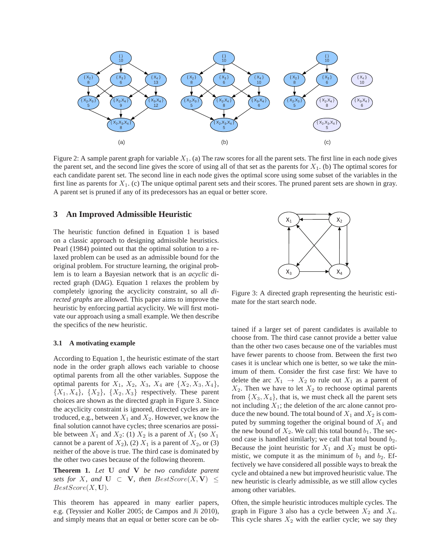

Figure 2: A sample parent graph for variable  $X_1$ . (a) The raw scores for all the parent sets. The first line in each node gives the parent set, and the second line gives the score of using all of that set as the parents for  $X_1$ . (b) The optimal scores for each candidate parent set. The second line in each node gives the optimal score using some subset of the variables in the first line as parents for  $X_1$ . (c) The unique optimal parent sets and their scores. The pruned parent sets are shown in gray. A parent set is pruned if any of its predecessors has an equal or better score.

### **3 An Improved Admissible Heuristic**

The heuristic function defined in Equation 1 is based on a classic approach to designing admissible heuristics. Pearl (1984) pointed out that the optimal solution to a relaxed problem can be used as an admissible bound for the original problem. For structure learning, the original problem is to learn a Bayesian network that is an *acyclic* directed graph (DAG). Equation 1 relaxes the problem by completely ignoring the acyclicity constraint, so all *directed graphs* are allowed. This paper aims to improve the heuristic by enforcing partial acyclicity. We will first motivate our approach using a small example. We then describe the specifics of the new heuristic.

### **3.1 A motivating example**

According to Equation 1, the heuristic estimate of the start node in the order graph allows each variable to choose optimal parents from all the other variables. Suppose the optimal parents for  $X_1$ ,  $X_2$ ,  $X_3$ ,  $X_4$  are  $\{X_2, X_3, X_4\}$ ,  ${X_1, X_4}, {X_2}, {X_3}$  respectively. These parent choices are shown as the directed graph in Figure 3. Since the acyclicity constraint is ignored, directed cycles are introduced, e.g., between  $X_1$  and  $X_2$ . However, we know the final solution cannot have cycles; three scenarios are possible between  $X_1$  and  $X_2$ : (1)  $X_2$  is a parent of  $X_1$  (so  $X_1$ ) cannot be a parent of  $X_2$ ), (2)  $X_1$  is a parent of  $X_2$ , or (3) neither of the above is true. The third case is dominated by the other two cases because of the following theorem.

**Theorem 1.** *Let* U *and* V *be two candidate parent sets for* X, and  $U \subset V$ , then  $BestScore(X, V)$  <  $BestScore(X, U)$ .

This theorem has appeared in many earlier papers, e.g. (Teyssier and Koller 2005; de Campos and Ji 2010), and simply means that an equal or better score can be ob-



Figure 3: A directed graph representing the heuristic estimate for the start search node.

tained if a larger set of parent candidates is available to choose from. The third case cannot provide a better value than the other two cases because one of the variables must have fewer parents to choose from. Between the first two cases it is unclear which one is better, so we take the minimum of them. Consider the first case first: We have to delete the arc  $X_1 \rightarrow X_2$  to rule out  $X_1$  as a parent of  $X_2$ . Then we have to let  $X_2$  to rechoose optimal parents from  $\{X_3, X_4\}$ , that is, we must check all the parent sets not including  $X_1$ ; the deletion of the arc alone cannot produce the new bound. The total bound of  $X_1$  and  $X_2$  is computed by summing together the original bound of  $X_1$  and the new bound of  $X_2$ . We call this total bound  $b_1$ . The second case is handled similarly; we call that total bound  $b_2$ . Because the joint heuristic for  $X_1$  and  $X_2$  must be optimistic, we compute it as the minimum of  $b_1$  and  $b_2$ . Effectively we have considered all possible ways to break the cycle and obtained a new but improved heuristic value. The new heuristic is clearly admissible, as we still allow cycles among other variables.

Often, the simple heuristic introduces multiple cycles. The graph in Figure 3 also has a cycle between  $X_2$  and  $X_4$ . This cycle shares  $X_2$  with the earlier cycle; we say they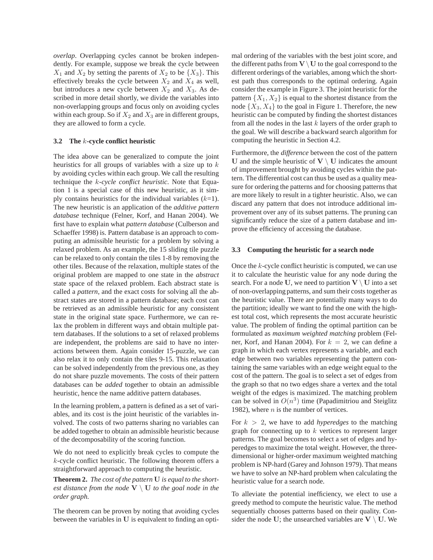*overlap*. Overlapping cycles cannot be broken independently. For example, suppose we break the cycle between  $X_1$  and  $X_2$  by setting the parents of  $X_2$  to be  $\{X_3\}$ . This effectively breaks the cycle between  $X_2$  and  $X_4$  as well, but introduces a new cycle between  $X_2$  and  $X_3$ . As described in more detail shortly, we divide the variables into non-overlapping groups and focus only on avoiding cycles within each group. So if  $X_2$  and  $X_3$  are in different groups, they are allowed to form a cycle.

### **3.2 The** k**-cycle conflict heuristic**

The idea above can be generalized to compute the joint heuristics for all groups of variables with a size up to  $k$ by avoiding cycles within each group. We call the resulting technique the k*-cycle conflict heuristic*. Note that Equation 1 is a special case of this new heuristic, as it simply contains heuristics for the individual variables  $(k=1)$ . The new heuristic is an application of the *additive pattern database* technique (Felner, Korf, and Hanan 2004). We first have to explain what *pattern database* (Culberson and Schaeffer 1998) is. Pattern database is an approach to computing an admissible heuristic for a problem by solving a relaxed problem. As an example, the 15 sliding tile puzzle can be relaxed to only contain the tiles 1-8 by removing the other tiles. Because of the relaxation, multiple states of the original problem are mapped to one state in the *abstract* state space of the relaxed problem. Each abstract state is called a *pattern*, and the exact costs for solving all the abstract states are stored in a pattern database; each cost can be retrieved as an admissible heuristic for any consistent state in the original state space. Furthermore, we can relax the problem in different ways and obtain multiple pattern databases. If the solutions to a set of relaxed problems are independent, the problems are said to have no interactions between them. Again consider 15-puzzle, we can also relax it to only contain the tiles 9-15. This relaxation can be solved independently from the previous one, as they do not share puzzle movements. The costs of their pattern databases can be *added* together to obtain an admissible heuristic, hence the name additive pattern databases.

In the learning problem, a pattern is defined as a set of variables, and its cost is the joint heuristic of the variables involved. The costs of two patterns sharing no variables can be added together to obtain an admissible heuristic because of the decomposability of the scoring function.

We do not need to explicitly break cycles to compute the k-cycle conflict heuristic. The following theorem offers a straightforward approach to computing the heuristic.

**Theorem 2.** *The cost of the pattern* U *is equal to the shortest distance from the node*  $V \setminus U$  *to the goal node in the order graph.*

The theorem can be proven by noting that avoiding cycles between the variables in U is equivalent to finding an optimal ordering of the variables with the best joint score, and the different paths from  $V \setminus U$  to the goal correspond to the different orderings of the variables, among which the shortest path thus corresponds to the optimal ordering. Again consider the example in Figure 3. The joint heuristic for the pattern  $\{X_1, X_2\}$  is equal to the shortest distance from the node  $\{X_3, X_4\}$  to the goal in Figure 1. Therefore, the new heuristic can be computed by finding the shortest distances from all the nodes in the last  $k$  layers of the order graph to the goal. We will describe a backward search algorithm for computing the heuristic in Section 4.2.

Furthermore, the *difference* between the cost of the pattern U and the simple heuristic of  $V \setminus U$  indicates the amount of improvement brought by avoiding cycles within the pattern. The differential cost can thus be used as a quality measure for ordering the patterns and for choosing patterns that are more likely to result in a tighter heuristic. Also, we can discard any pattern that does not introduce additional improvement over any of its subset patterns. The pruning can significantly reduce the size of a pattern database and improve the efficiency of accessing the database.

#### **3.3 Computing the heuristic for a search node**

Once the k-cycle conflict heuristic is computed, we can use it to calculate the heuristic value for any node during the search. For a node U, we need to partition  $V \setminus U$  into a set of non-overlapping patterns, and sum their costs together as the heuristic value. There are potentially many ways to do the partition; ideally we want to find the one with the highest total cost, which represents the most accurate heuristic value. The problem of finding the optimal partition can be formulated as *maximum weighted matching* problem (Felner, Korf, and Hanan 2004). For  $k = 2$ , we can define a graph in which each vertex represents a variable, and each edge between two variables representing the pattern containing the same variables with an edge weight equal to the cost of the pattern. The goal is to select a set of edges from the graph so that no two edges share a vertex and the total weight of the edges is maximized. The matching problem can be solved in  $O(n^3)$  time (Papadimitriou and Steiglitz 1982), where  $n$  is the number of vertices.

For  $k > 2$ , we have to add *hyperedges* to the matching graph for connecting up to k vertices to represent larger patterns. The goal becomes to select a set of edges and hyperedges to maximize the total weight. However, the threedimensional or higher-order maximum weighted matching problem is NP-hard (Garey and Johnson 1979). That means we have to solve an NP-hard problem when calculating the heuristic value for a search node.

To alleviate the potential inefficiency, we elect to use a greedy method to compute the heuristic value. The method sequentially chooses patterns based on their quality. Consider the node U; the unsearched variables are  $V \setminus U$ . We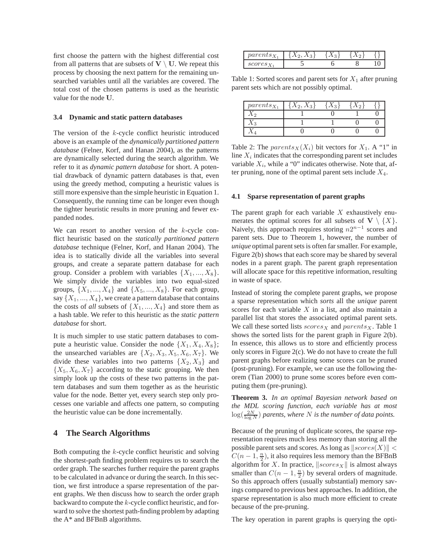first choose the pattern with the highest differential cost from all patterns that are subsets of  $V \setminus U$ . We repeat this process by choosing the next pattern for the remaining unsearched variables until all the variables are covered. The total cost of the chosen patterns is used as the heuristic value for the node U.

### **3.4 Dynamic and static pattern databases**

The version of the  $k$ -cycle conflict heuristic introduced above is an example of the *dynamically partitioned pattern database* (Felner, Korf, and Hanan 2004), as the patterns are dynamically selected during the search algorithm. We refer to it as *dynamic pattern database* for short. A potential drawback of dynamic pattern databases is that, even using the greedy method, computing a heuristic values is still more expensive than the simple heuristic in Equation 1. Consequently, the running time can be longer even though the tighter heuristic results in more pruning and fewer expanded nodes.

We can resort to another version of the  $k$ -cycle conflict heuristic based on the *statically partitioned pattern database* technique (Felner, Korf, and Hanan 2004). The idea is to statically divide all the variables into several groups, and create a separate pattern database for each group. Consider a problem with variables  $\{X_1, ..., X_8\}$ . We simply divide the variables into two equal-sized groups,  $\{X_1, ..., X_4\}$  and  $\{X_5, ..., X_8\}$ . For each group, say  $\{X_1, ..., X_4\}$ , we create a pattern database that contains the costs of *all* subsets of  $\{X_1, ..., X_4\}$  and store them as a hash table. We refer to this heuristic as the *static pattern database* for short.

It is much simpler to use static pattern databases to compute a heuristic value. Consider the node  $\{X_1, X_4, X_8\}$ ; the unsearched variables are  $\{X_2, X_3, X_5, X_6, X_7\}$ . We divide these variables into two patterns  $\{X_2, X_3\}$  and  ${X_5, X_6, X_7}$  according to the static grouping. We then simply look up the costs of these two patterns in the pattern databases and sum them together as as the heuristic value for the node. Better yet, every search step only processes one variable and affects one pattern, so computing the heuristic value can be done incrementally.

### **4 The Search Algorithms**

Both computing the k-cycle conflict heuristic and solving the shortest-path finding problem requires us to search the order graph. The searches further require the parent graphs to be calculated in advance or during the search. In this section, we first introduce a sparse representation of the parent graphs. We then discuss how to search the order graph backward to compute the k-cycle conflict heuristic, and forward to solve the shortest path-finding problem by adapting the A\* and BFBnB algorithms.

| $\mathfrak{m}$<br>pur<br>$c_{1}u_{2}$ | $\Omega$ | υ |     |
|---------------------------------------|----------|---|-----|
| $\sim$ $\sim$ $\sim$ $\sim$<br>・ひひ    |          |   | * ∿ |

Table 1: Sorted scores and parent sets for  $X_1$  after pruning parent sets which are not possibly optimal.

| $parents_{X_1}$ | $\Omega$ | $\Omega$ |  |
|-----------------|----------|----------|--|
|                 |          |          |  |
|                 |          |          |  |
|                 |          |          |  |

Table 2: The *parents* $_X(X_i)$  bit vectors for  $X_1$ . A "1" in line  $X_i$  indicates that the corresponding parent set includes variable  $X_i$ , while a "0" indicates otherwise. Note that, after pruning, none of the optimal parent sets include  $X_4$ .

#### **4.1 Sparse representation of parent graphs**

The parent graph for each variable  $X$  exhaustively enumerates the optimal scores for all subsets of  $V \setminus \{X\}$ . Naively, this approach requires storing  $n2^{n-1}$  scores and parent sets. Due to Theorem 1, however, the number of *unique* optimal parent sets is often far smaller. For example, Figure 2(b) shows that each score may be shared by several nodes in a parent graph. The parent graph representation will allocate space for this repetitive information, resulting in waste of space.

Instead of storing the complete parent graphs, we propose a sparse representation which *sorts* all the *unique* parent scores for each variable  $X$  in a list, and also maintain a parallel list that stores the associated optimal parent sets. We call these sorted lists  $scores_X$  and  $parents_X$ . Table 1 shows the sorted lists for the parent graph in Figure 2(b). In essence, this allows us to store and efficiently process only scores in Figure 2(c). We do not have to create the full parent graphs before realizing some scores can be pruned (post-pruning). For example, we can use the following theorem (Tian 2000) to prune some scores before even computing them (pre-pruning).

**Theorem 3.** *In an optimal Bayesian network based on the MDL scoring function, each variable has at most*  $\log(\frac{2N}{\log N})$  parents, where N is the number of data points.

Because of the pruning of duplicate scores, the sparse representation requires much less memory than storing all the possible parent sets and scores. As long as  $\|{}scores(X)\|$  <  $C(n-1, \frac{n}{2})$ , it also requires less memory than the BFBnB algorithm for X. In practice,  $\|{} \textit{scores}_X \|$  is almost always smaller than  $C(n-1, \frac{n}{2})$  by several orders of magnitude. So this approach offers (usually substantial) memory savings compared to previous best approaches. In addition, the sparse representation is also much more efficient to create because of the pre-pruning.

The key operation in parent graphs is querying the opti-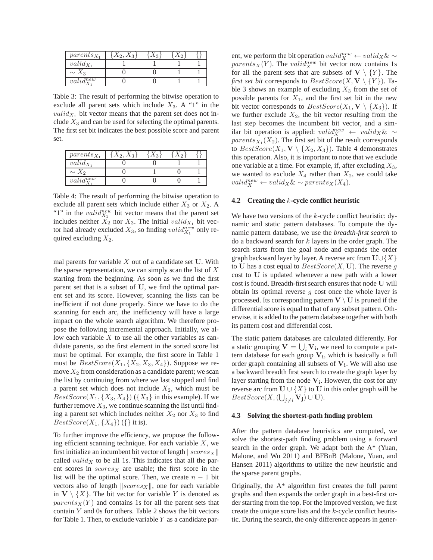| $parents_{X_1}$            | $\Lambda_2, \Lambda_3$ | $\Omega$ |  |
|----------------------------|------------------------|----------|--|
| $valid_{X_1}$              |                        |          |  |
| $\sim X_3$                 |                        |          |  |
| $valid_{\mathbf{Y}}^{new}$ |                        |          |  |

Table 3: The result of performing the bitwise operation to exclude all parent sets which include  $X_3$ . A "1" in the  $valid_{X_1}$  bit vector means that the parent set does not include  $X_3$  and can be used for selecting the optimal parents. The first set bit indicates the best possible score and parent set.

| $parents_{X_1}$            | $\Omega$ |  |
|----------------------------|----------|--|
| $valid_{X_1}$              |          |  |
| $\sim$<br>ΛΩ               |          |  |
| $valid_{\mathbf{v}}^{new}$ |          |  |

Table 4: The result of performing the bitwise operation to exclude all parent sets which include either  $X_3$  or  $X_2$ . A "1" in the  $valid_{X_1}^{new}$  bit vector means that the parent set includes neither  $X_2$  nor  $X_3$ . The initial valid $X_1$  bit vector had already excluded  $X_3$ , so finding  $valid_{X_1}^{new}$  only required excluding  $X_2$ .

mal parents for variable  $X$  out of a candidate set  $U$ . With the sparse representation, we can simply scan the list of  $X$ starting from the beginning. As soon as we find the first parent set that is a subset of U, we find the optimal parent set and its score. However, scanning the lists can be inefficient if not done properly. Since we have to do the scanning for each arc, the inefficiency will have a large impact on the whole search algorithm. We therefore propose the following incremental approach. Initially, we allow each variable  $X$  to use all the other variables as candidate parents, so the first element in the sorted score list must be optimal. For example, the first score in Table 1 must be  $BestScore(X_1, \{X_2, X_3, X_4\})$ . Suppose we remove  $X_2$  from consideration as a candidate parent; we scan the list by continuing from where we last stopped and find a parent set which does not include  $X_2$ , which must be  $BestScore(X_1, \{X_3, X_4\})$  ( $\{X_3\}$  in this example). If we further remove  $X_3$ , we continue scanning the list until finding a parent set which includes neither  $X_2$  nor  $X_3$  to find  $BestScore(X_1, \{X_4\})$  ({} it is).

To further improve the efficiency, we propose the following efficient scanning technique. For each variable  $X$ , we first initialize an incumbent bit vector of length  $\|{}scores_x\|$ called *valid* $_X$  to be all 1s. This indicates that all the parent scores in  $scores_X$  are usable; the first score in the list will be the optimal score. Then, we create  $n - 1$  bit vectors also of length  $\|{}{}scores_X\|$ , one for each variable in  $V \setminus \{X\}$ . The bit vector for variable Y is denoted as  $parents<sub>X</sub>(Y)$  and contains 1s for all the parent sets that contain Y and 0s for others. Table 2 shows the bit vectors for Table 1. Then, to exclude variable  $Y$  as a candidate par-

ent, we perform the bit operation  $valid_X^{new} \leftarrow valid_X \& \sim$ parents  $_X(Y)$ . The valid  $\mathbb{R}^{\text{new}}$  bit vector now contains 1s for all the parent sets that are subsets of  $V \setminus \{Y\}$ . The *first set bit* corresponds to  $BestScore(X, V \setminus \{Y\})$ . Table 3 shows an example of excluding  $X_3$  from the set of possible parents for  $X_1$ , and the first set bit in the new bit vector corresponds to  $BestScore(X_1, V \setminus \{X_3\})$ . If we further exclude  $X_2$ , the bit vector resulting from the last step becomes the incumbent bit vector, and a similar bit operation is applied:  $valid_X^{new} \leftarrow valid_X \& \sim$  $parents_{X_1}(X_2)$ . The first set bit of the result corresponds to  $BestScore(X_1, V \setminus \{X_2, X_3\})$ . Table 4 demonstrates this operation. Also, it is important to note that we exclude one variable at a time. For example, if, after excluding  $X_3$ , we wanted to exclude  $X_4$  rather than  $X_2$ , we could take  $valid_X^{new} \leftarrow valid_X \& \sim parents_X(X_4).$ 

### **4.2 Creating the** k**-cycle conflict heuristic**

We have two versions of the k-cycle conflict heuristic: dynamic and static pattern databases. To compute the dynamic pattern database, we use the *breadth-first search* to do a backward search for  $k$  layers in the order graph. The search starts from the goal node and expands the order graph backward layer by layer. A reverse arc from  $U \cup \{X\}$ to U has a cost equal to  $BestScore(X, U)$ . The reverse g cost to U is updated whenever a new path with a lower cost is found. Breadth-first search ensures that node U will obtain its optimal reverse  $g$  cost once the whole layer is processed. Its corresponding pattern  $V \setminus U$  is pruned if the differential score is equal to that of any subset pattern. Otherwise, it is added to the pattern database together with both its pattern cost and differential cost.

The static pattern databases are calculated differently. For a static grouping  $V = \bigcup_i V_i$ , we need to compute a pattern database for each group  $V_i$ , which is basically a full order graph containing all subsets of  $V_i$ . We will also use a backward breadth first search to create the graph layer by layer starting from the node  $V_i$ . However, the cost for any reverse arc from  $U \cup \{X\}$  to U in this order graph will be  $BestScore(X, (\bigcup_{j \neq i} V_j) \cup U).$ 

### **4.3 Solving the shortest-path finding problem**

After the pattern database heuristics are computed, we solve the shortest-path finding problem using a forward search in the order graph. We adapt both the A\* (Yuan, Malone, and Wu 2011) and BFBnB (Malone, Yuan, and Hansen 2011) algorithms to utilize the new heuristic and the sparse parent graphs.

Originally, the A\* algorithm first creates the full parent graphs and then expands the order graph in a best-first order starting from the top. For the improved version, we first create the unique score lists and the k-cycle conflict heuristic. During the search, the only difference appears in gener-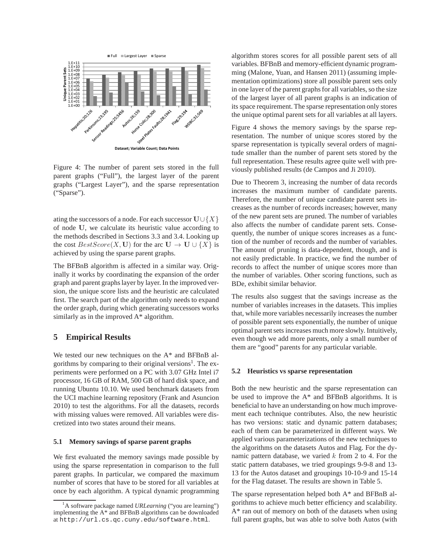

Figure 4: The number of parent sets stored in the full parent graphs ("Full"), the largest layer of the parent graphs ("Largest Layer"), and the sparse representation ("Sparse").

ating the successors of a node. For each successor  $\mathbf{U}\cup\{X\}$ of node U, we calculate its heuristic value according to the methods described in Sections 3.3 and 3.4. Looking up the cost  $BestScore(X, U)$  for the arc  $U \rightarrow U \cup \{X\}$  is achieved by using the sparse parent graphs.

The BFBnB algorithm is affected in a similar way. Originally it works by coordinating the expansion of the order graph and parent graphs layer by layer. In the improved version, the unique score lists and the heuristic are calculated first. The search part of the algorithm only needs to expand the order graph, during which generating successors works similarly as in the improved A\* algorithm.

## **5 Empirical Results**

We tested our new techniques on the A\* and BFBnB algorithms by comparing to their original versions<sup>1</sup>. The experiments were performed on a PC with 3.07 GHz Intel i7 processor, 16 GB of RAM, 500 GB of hard disk space, and running Ubuntu 10.10. We used benchmark datasets from the UCI machine learning repository (Frank and Asuncion 2010) to test the algorithms. For all the datasets, records with missing values were removed. All variables were discretized into two states around their means.

### **5.1 Memory savings of sparse parent graphs**

We first evaluated the memory savings made possible by using the sparse representation in comparison to the full parent graphs. In particular, we compared the maximum number of scores that have to be stored for all variables at once by each algorithm. A typical dynamic programming algorithm stores scores for all possible parent sets of all variables. BFBnB and memory-efficient dynamic programming (Malone, Yuan, and Hansen 2011) (assuming implementation optimizations) store all possible parent sets only in one layer of the parent graphs for all variables, so the size of the largest layer of all parent graphs is an indication of its space requirement. The sparse representation only stores the unique optimal parent sets for all variables at all layers.

Figure 4 shows the memory savings by the sparse representation. The number of unique scores stored by the sparse representation is typically several orders of magnitude smaller than the number of parent sets stored by the full representation. These results agree quite well with previously published results (de Campos and Ji 2010).

Due to Theorem 3, increasing the number of data records increases the maximum number of candidate parents. Therefore, the number of unique candidate parent sets increases as the number of records increases; however, many of the new parent sets are pruned. The number of variables also affects the number of candidate parent sets. Consequently, the number of unique scores increases as a function of the number of records and the number of variables. The amount of pruning is data-dependent, though, and is not easily predictable. In practice, we find the number of records to affect the number of unique scores more than the number of variables. Other scoring functions, such as BDe, exhibit similar behavior.

The results also suggest that the savings increase as the number of variables increases in the datasets. This implies that, while more variables necessarily increases the number of possible parent sets exponentially, the number of unique optimal parent sets increases much more slowly. Intuitively, even though we add more parents, only a small number of them are "good" parents for any particular variable.

#### **5.2 Heuristics vs sparse representation**

Both the new heuristic and the sparse representation can be used to improve the  $A^*$  and BFBnB algorithms. It is beneficial to have an understanding on how much improvement each technique contributes. Also, the new heuristic has two versions: static and dynamic pattern databases; each of them can be parameterized in different ways. We applied various parameterizations of the new techniques to the algorithms on the datasets Autos and Flag. For the dynamic pattern database, we varied  $k$  from 2 to 4. For the static pattern databases, we tried groupings 9-9-8 and 13- 13 for the Autos dataset and groupings 10-10-9 and 15-14 for the Flag dataset. The results are shown in Table 5.

The sparse representation helped both A\* and BFBnB algorithms to achieve much better efficiency and scalability. A\* ran out of memory on both of the datasets when using full parent graphs, but was able to solve both Autos (with

<sup>&</sup>lt;sup>1</sup>A software package named *URLearning* ("you are learning") implementing the A\* and BFBnB algorithms can be downloaded at http://url.cs.qc.cuny.edu/software.html.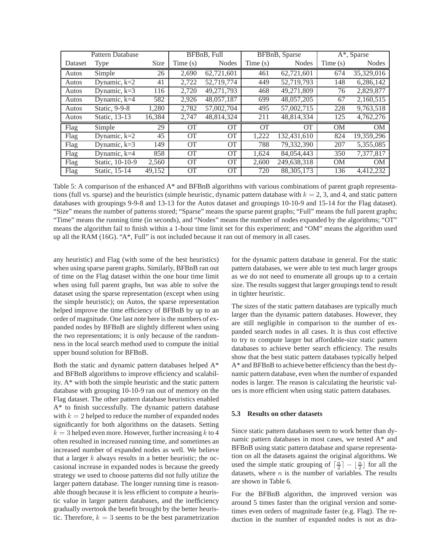| <b>Pattern Database</b> |                 | BFBnB. Full |                 | BFBnB, Sparse   |            | $A^*$ , Sparse |           |                        |
|-------------------------|-----------------|-------------|-----------------|-----------------|------------|----------------|-----------|------------------------|
| Dataset                 | Type            | <b>Size</b> | Time $(s)$      | <b>Nodes</b>    | Time $(s)$ | <b>Nodes</b>   | Time(s)   | <b>Nodes</b>           |
| Autos                   | Simple          | 26          | 2,690           | 62,721,601      | 461        | 62,721,601     | 674       | 35,329,016             |
| Autos                   | Dynamic, $k=2$  | 41          | 2,722           | 52,719,774      | 449        | 52,719,793     | 148       | $\overline{6,286,142}$ |
| Autos                   | Dynamic, $k=3$  | 116         | 2,720           | 49,271,793      | 468        | 49,271,809     | 76        | 2,829,877              |
| Autos                   | Dynamic, k=4    | 582         | 2,926           | 48,057,187      | 699        | 48,057,205     | 67        | 2,160,515              |
| Autos                   | Static, 9-9-8   | 1,280       | 2,782           | 57,002,704      | 495        | 57,002,715     | 228       | 9,763,518              |
| Autos                   | Static, 13-13   | 16,384      | 2,747           | 48,814,324      | 211        | 48,814,334     | 125       | 4,762,276              |
| Flag                    | Simple          | 29          | <b>OT</b>       | $\overline{OT}$ | <b>OT</b>  | <b>OT</b>      | OM        | OM                     |
| Flag                    | Dynamic, $k=2$  | 45          | $\overline{OT}$ | $\overline{OT}$ | 1,222      | 132,431,610    | 824       | 19,359,296             |
| Flag                    | Dynamic, $k=3$  | 149         | $\overline{OT}$ | $\overline{OT}$ | 788        | 79.332.390     | 207       | 5,355,085              |
| Flag                    | Dynamic, k=4    | 858         | <b>OT</b>       | <b>OT</b>       | 1,624      | 84,054,443     | 350       | 7,377,817              |
| Flag                    | Static, 10-10-9 | 2,560       | <b>OT</b>       | $\overline{OT}$ | 2,600      | 249,638,318    | <b>OM</b> | OM                     |
| Flag                    | Static, 15-14   | 49,152      | <b>OT</b>       | OТ              | 720        | 88.305.173     | 136       | 4,412,232              |

Table 5: A comparison of the enhanced A\* and BFBnB algorithms with various combinations of parent graph representations (full vs. sparse) and the heuristics (simple heuristic, dynamic pattern database with  $k = 2, 3$ , and 4, and static pattern databases with groupings 9-9-8 and 13-13 for the Autos dataset and groupings 10-10-9 and 15-14 for the Flag dataset). "Size" means the number of patterns stored; "Sparse" means the sparse parent graphs; "Full" means the full parent graphs; "Time" means the running time (in seconds), and "Nodes" means the number of nodes expanded by the algorithms; "OT" means the algorithm fail to finish within a 1-hour time limit set for this experiment; and "OM" means the algorithm used up all the RAM (16G). "A\*, Full" is not included because it ran out of memory in all cases.

any heuristic) and Flag (with some of the best heuristics) when using sparse parent graphs. Similarly, BFBnB ran out of time on the Flag dataset within the one hour time limit when using full parent graphs, but was able to solve the dataset using the sparse representation (except when using the simple heuristic); on Autos, the sparse representation helped improve the time efficiency of BFBnB by up to an order of magnitude. One last note here is the numbers of expanded nodes by BFBnB are slightly different when using the two representations; it is only because of the randomness in the local search method used to compute the initial upper bound solution for BFBnB.

Both the static and dynamic pattern databases helped A\* and BFBnB algorithms to improve efficiency and scalability. A\* with both the simple heuristic and the static pattern database with grouping 10-10-9 ran out of memory on the Flag dataset. The other pattern database heuristics enabled A\* to finish successfully. The dynamic pattern database with  $k = 2$  helped to reduce the number of expanded nodes significantly for both algorithms on the datasets. Setting  $k = 3$  helped even more. However, further increasing k to 4 often resulted in increased running time, and sometimes an increased number of expanded nodes as well. We believe that a larger  $k$  always results in a better heuristic; the occasional increase in expanded nodes is because the greedy strategy we used to choose patterns did not fully utilize the larger pattern database. The longer running time is reasonable though because it is less efficient to compute a heuristic value in larger pattern databases, and the inefficiency gradually overtook the benefit brought by the better heuristic. Therefore,  $k = 3$  seems to be the best parametrization for the dynamic pattern database in general. For the static pattern databases, we were able to test much larger groups as we do not need to enumerate all groups up to a certain size. The results suggest that larger groupings tend to result in tighter heuristic.

The sizes of the static pattern databases are typically much larger than the dynamic pattern databases. However, they are still negligible in comparison to the number of expanded search nodes in all cases. It is thus cost effective to try to compute larger but affordable-size static pattern databases to achieve better search efficiency. The results show that the best static pattern databases typically helped A\* and BFBnB to achieve better efficiency than the best dynamic pattern database, even when the number of expanded nodes is larger. The reason is calculating the heuristic values is more efficient when using static pattern databases.

### **5.3 Results on other datasets**

Since static pattern databases seem to work better than dynamic pattern databases in most cases, we tested A\* and BFBnB using static pattern database and sparse representation on all the datasets against the original algorithms. We used the simple static grouping of  $\lceil \frac{n}{2} \rceil - \lfloor \frac{n}{2} \rfloor$  for all the datasets, where  $n$  is the number of variables. The results are shown in Table 6.

For the BFBnB algorithm, the improved version was around 5 times faster than the original version and sometimes even orders of magnitude faster (e.g. Flag). The reduction in the number of expanded nodes is not as dra-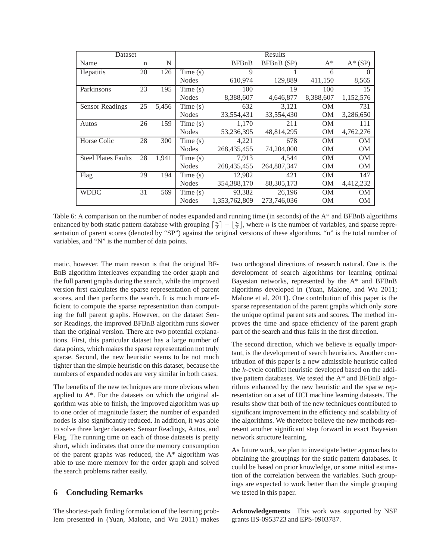| Dataset                    |    |       | Results      |               |              |           |            |
|----------------------------|----|-------|--------------|---------------|--------------|-----------|------------|
| Name                       | n  | N     |              | <b>BFBnB</b>  | BFBnB (SP)   | $A^*$     | $A^*$ (SP) |
| Hepatitis                  | 20 | 126   | Time(s)      | 9             |              | 6         | $\Omega$   |
|                            |    |       | <b>Nodes</b> | 610,974       | 129,889      | 411,150   | 8,565      |
| Parkinsons                 | 23 | 195   | Time(s)      | 100           | 19           | 100       | 15         |
|                            |    |       | <b>Nodes</b> | 8,388,607     | 4,646,877    | 8,388,607 | 1,152,576  |
| <b>Sensor Readings</b>     | 25 | 5,456 | Time(s)      | 632           | 3.121        | OМ        | 731        |
|                            |    |       | <b>Nodes</b> | 33,554,431    | 33,554,430   | OМ        | 3,286,650  |
| Autos                      | 26 | 159   | Time(s)      | 1,170         | 211          | OМ        | 111        |
|                            |    |       | <b>Nodes</b> | 53,236,395    | 48,814,295   | OM        | 4,762,276  |
| Horse Colic                | 28 | 300   | Time(s)      | 4,221         | 678          | <b>OM</b> | <b>OM</b>  |
|                            |    |       | <b>Nodes</b> | 268,435,455   | 74,204,000   | <b>OM</b> | <b>OM</b>  |
| <b>Steel Plates Faults</b> | 28 | 1.941 | Time(s)      | 7.913         | 4.544        | <b>OM</b> | <b>OM</b>  |
|                            |    |       | <b>Nodes</b> | 268,435,455   | 264,887,347  | <b>OM</b> | <b>OM</b>  |
| Flag                       | 29 | 194   | Time $(s)$   | 12,902        | 421          | <b>OM</b> | 147        |
|                            |    |       | <b>Nodes</b> | 354,388,170   | 88, 305, 173 | OM        | 4,412,232  |
| WDBC                       | 31 | 569   | Time(s)      | 93,382        | 26,196       | OМ        | <b>OM</b>  |
|                            |    |       | <b>Nodes</b> | 1.353.762.809 | 273.746.036  | OМ        | <b>OM</b>  |

Table 6: A comparison on the number of nodes expanded and running time (in seconds) of the A\* and BFBnB algorithms enhanced by both static pattern database with grouping  $\lceil \frac{n}{2} \rceil - \lfloor \frac{n}{2} \rfloor$ , where *n* is the number of variables, and sparse representation of parent scores (denoted by "SP") against the original versions of these algorithms. "n" is the total number of variables, and "N" is the number of data points.

matic, however. The main reason is that the original BF-BnB algorithm interleaves expanding the order graph and the full parent graphs during the search, while the improved version first calculates the sparse representation of parent scores, and then performs the search. It is much more efficient to compute the sparse representation than computing the full parent graphs. However, on the dataset Sensor Readings, the improved BFBnB algorithm runs slower than the original version. There are two potential explanations. First, this particular dataset has a large number of data points, which makes the sparse representation not truly sparse. Second, the new heuristic seems to be not much tighter than the simple heuristic on this dataset, because the numbers of expanded nodes are very similar in both cases.

The benefits of the new techniques are more obvious when applied to A\*. For the datasets on which the original algorithm was able to finish, the improved algorithm was up to one order of magnitude faster; the number of expanded nodes is also significantly reduced. In addition, it was able to solve three larger datasets: Sensor Readings, Autos, and Flag. The running time on each of those datasets is pretty short, which indicates that once the memory consumption of the parent graphs was reduced, the A\* algorithm was able to use more memory for the order graph and solved the search problems rather easily.

### **6 Concluding Remarks**

The shortest-path finding formulation of the learning problem presented in (Yuan, Malone, and Wu 2011) makes two orthogonal directions of research natural. One is the development of search algorithms for learning optimal Bayesian networks, represented by the A\* and BFBnB algorithms developed in (Yuan, Malone, and Wu 2011; Malone et al. 2011). One contribution of this paper is the sparse representation of the parent graphs which only store the unique optimal parent sets and scores. The method improves the time and space efficiency of the parent graph part of the search and thus falls in the first direction.

The second direction, which we believe is equally important, is the development of search heuristics. Another contribution of this paper is a new admissible heuristic called the k-cycle conflict heuristic developed based on the additive pattern databases. We tested the A\* and BFBnB algorithms enhanced by the new heuristic and the sparse representation on a set of UCI machine learning datasets. The results show that both of the new techniques contributed to significant improvement in the efficiency and scalability of the algorithms. We therefore believe the new methods represent another significant step forward in exact Bayesian network structure learning.

As future work, we plan to investigate better approaches to obtaining the groupings for the static pattern databases. It could be based on prior knowledge, or some initial estimation of the correlation between the variables. Such groupings are expected to work better than the simple grouping we tested in this paper.

**Acknowledgements** This work was supported by NSF grants IIS-0953723 and EPS-0903787.